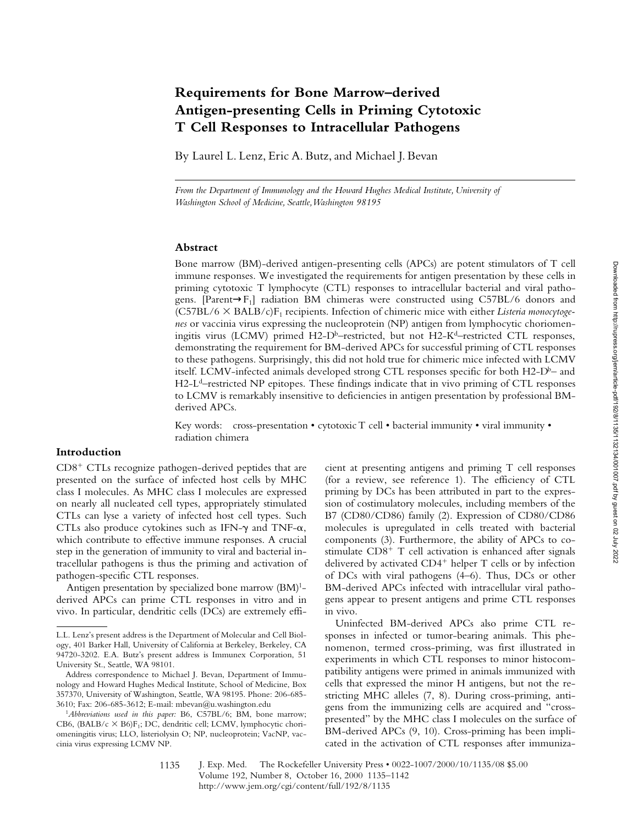# **Requirements for Bone Marrow–derived Antigen-presenting Cells in Priming Cytotoxic T Cell Responses to Intracellular Pathogens**

By Laurel L. Lenz, Eric A. Butz, and Michael J. Bevan

*From the Department of Immunology and the Howard Hughes Medical Institute, University of Washington School of Medicine, Seattle, Washington 98195*

### **Abstract**

Bone marrow (BM)-derived antigen-presenting cells (APCs) are potent stimulators of T cell immune responses. We investigated the requirements for antigen presentation by these cells in priming cytotoxic T lymphocyte (CTL) responses to intracellular bacterial and viral pathogens. [Parent $\rightarrow$ F<sub>1</sub>] radiation BM chimeras were constructed using C57BL/6 donors and (C57BL/6 3 BALB/c)F1 recipients. Infection of chimeric mice with either *Listeria monocytogenes* or vaccinia virus expressing the nucleoprotein (NP) antigen from lymphocytic choriomeningitis virus (LCMV) primed  $H2-D<sup>b</sup>$ –restricted, but not  $H2-K<sup>d</sup>$ –restricted CTL responses, demonstrating the requirement for BM-derived APCs for successful priming of CTL responses to these pathogens. Surprisingly, this did not hold true for chimeric mice infected with LCMV itself. LCMV-infected animals developed strong CTL responses specific for both H2- $D<sup>b</sup>$ – and H2-L<sup>d</sup>-restricted NP epitopes. These findings indicate that in vivo priming of CTL responses to LCMV is remarkably insensitive to deficiencies in antigen presentation by professional BMderived APCs.

Key words: cross-presentation • cytotoxic T cell • bacterial immunity • viral immunity • radiation chimera

## **Introduction**

 $CD8<sup>+</sup> CTLs$  recognize pathogen-derived peptides that are presented on the surface of infected host cells by MHC class I molecules. As MHC class I molecules are expressed on nearly all nucleated cell types, appropriately stimulated CTLs can lyse a variety of infected host cell types. Such CTLs also produce cytokines such as IFN- $\gamma$  and TNF- $\alpha$ , which contribute to effective immune responses. A crucial step in the generation of immunity to viral and bacterial intracellular pathogens is thus the priming and activation of pathogen-specific CTL responses.

Antigen presentation by specialized bone marrow  $(BM)^{1}$ derived APCs can prime CTL responses in vitro and in vivo. In particular, dendritic cells (DCs) are extremely efficient at presenting antigens and priming T cell responses (for a review, see reference 1). The efficiency of CTL priming by DCs has been attributed in part to the expression of costimulatory molecules, including members of the B7 (CD80/CD86) family (2). Expression of CD80/CD86 molecules is upregulated in cells treated with bacterial components (3). Furthermore, the ability of APCs to costimulate  $CD8<sup>+</sup>$  T cell activation is enhanced after signals delivered by activated  $CD4^+$  helper T cells or by infection of DCs with viral pathogens (4–6). Thus, DCs or other BM-derived APCs infected with intracellular viral pathogens appear to present antigens and prime CTL responses in vivo.

Uninfected BM-derived APCs also prime CTL responses in infected or tumor-bearing animals. This phenomenon, termed cross-priming, was first illustrated in experiments in which CTL responses to minor histocompatibility antigens were primed in animals immunized with cells that expressed the minor H antigens, but not the restricting MHC alleles (7, 8). During cross-priming, antigens from the immunizing cells are acquired and "crosspresented" by the MHC class I molecules on the surface of BM-derived APCs (9, 10). Cross-priming has been implicated in the activation of CTL responses after immunizaDownloaded from http://rupress.org/jern/article-pdf/192/8/1132134/001007.pdf by guest on 02 July 2022 Downloaded from http://rupress.org/jem/article-pdf/192/8/1135/1132134/001007.pdf by guest on 02 July 2022

1135

L.L. Lenz's present address is the Department of Molecular and Cell Biology, 401 Barker Hall, University of California at Berkeley, Berkeley, CA 94720-3202. E.A. Butz's present address is Immunex Corporation, 51 University St., Seattle, WA 98101.

Address correspondence to Michael J. Bevan, Department of Immunology and Howard Hughes Medical Institute, School of Medicine, Box 357370, University of Washington, Seattle, WA 98195. Phone: 206-685- 3610; Fax: 206-685-3612; E-mail: mbevan@u.washington.edu

<sup>1</sup>*Abbreviations used in this paper:* B6, C57BL/6; BM, bone marrow; CB6, (BALB/c  $\times$  B6)F<sub>1</sub>; DC, dendritic cell; LCMV, lymphocytic choriomeningitis virus; LLO, listeriolysin O; NP, nucleoprotein; VacNP, vaccinia virus expressing LCMV NP.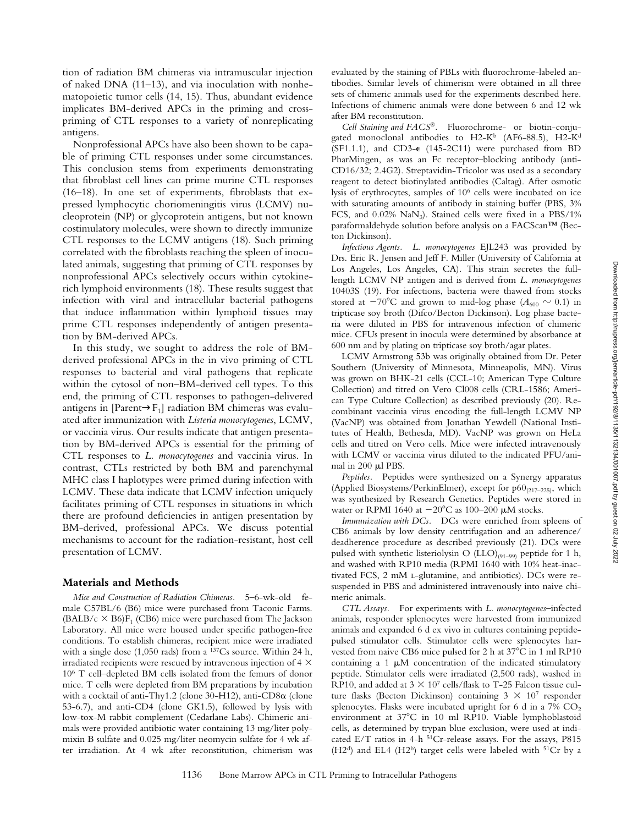tion of radiation BM chimeras via intramuscular injection of naked DNA (11–13), and via inoculation with nonhematopoietic tumor cells (14, 15). Thus, abundant evidence implicates BM-derived APCs in the priming and crosspriming of CTL responses to a variety of nonreplicating antigens.

Nonprofessional APCs have also been shown to be capable of priming CTL responses under some circumstances. This conclusion stems from experiments demonstrating that fibroblast cell lines can prime murine CTL responses (16–18). In one set of experiments, fibroblasts that expressed lymphocytic choriomeningitis virus (LCMV) nucleoprotein (NP) or glycoprotein antigens, but not known costimulatory molecules, were shown to directly immunize CTL responses to the LCMV antigens (18). Such priming correlated with the fibroblasts reaching the spleen of inoculated animals, suggesting that priming of CTL responses by nonprofessional APCs selectively occurs within cytokinerich lymphoid environments (18). These results suggest that infection with viral and intracellular bacterial pathogens that induce inflammation within lymphoid tissues may prime CTL responses independently of antigen presentation by BM-derived APCs.

In this study, we sought to address the role of BMderived professional APCs in the in vivo priming of CTL responses to bacterial and viral pathogens that replicate within the cytosol of non–BM-derived cell types. To this end, the priming of CTL responses to pathogen-delivered antigens in [Parent $\rightarrow$ F<sub>1</sub>] radiation BM chimeras was evaluated after immunization with *Listeria monocytogenes*, LCMV, or vaccinia virus. Our results indicate that antigen presentation by BM-derived APCs is essential for the priming of CTL responses to *L. monocytogenes* and vaccinia virus. In contrast, CTLs restricted by both BM and parenchymal MHC class I haplotypes were primed during infection with LCMV. These data indicate that LCMV infection uniquely facilitates priming of CTL responses in situations in which there are profound deficiencies in antigen presentation by BM-derived, professional APCs. We discuss potential mechanisms to account for the radiation-resistant, host cell presentation of LCMV.

#### **Materials and Methods**

*Mice and Construction of Radiation Chimeras.* 5–6-wk-old female C57BL/6 (B6) mice were purchased from Taconic Farms.  $(BALB/c \times B6)F_1 (CB6)$  mice were purchased from The Jackson Laboratory. All mice were housed under specific pathogen-free conditions. To establish chimeras, recipient mice were irradiated with a single dose (1,050 rads) from a 137Cs source. Within 24 h, irradiated recipients were rescued by intravenous injection of 4  $\times$ 106 T cell–depleted BM cells isolated from the femurs of donor mice. T cells were depleted from BM preparations by incubation with a cocktail of anti-Thy1.2 (clone 30-H12), anti-CD8a (clone 53-6.7), and anti-CD4 (clone GK1.5), followed by lysis with low-tox-M rabbit complement (Cedarlane Labs). Chimeric animals were provided antibiotic water containing 13 mg/liter polymixin B sulfate and 0.025 mg/liter neomycin sulfate for 4 wk after irradiation. At 4 wk after reconstitution, chimerism was evaluated by the staining of PBLs with fluorochrome-labeled antibodies. Similar levels of chimerism were obtained in all three sets of chimeric animals used for the experiments described here. Infections of chimeric animals were done between 6 and 12 wk after BM reconstitution.

*Cell Staining and FACS®.* Fluorochrome- or biotin-conjugated monoclonal antibodies to  $H2-K^b$  (AF6-88.5), H2-K<sup>d</sup> (SF1.1.1), and CD3-e (145-2C11) were purchased from BD PharMingen, as was an Fc receptor–blocking antibody (anti-CD16/32; 2.4G2). Streptavidin-Tricolor was used as a secondary reagent to detect biotinylated antibodies (Caltag). After osmotic lysis of erythrocytes, samples of 106 cells were incubated on ice with saturating amounts of antibody in staining buffer (PBS, 3% FCS, and  $0.02\%$  NaN<sub>3</sub>). Stained cells were fixed in a PBS/1% paraformaldehyde solution before analysis on a FACScan™ (Becton Dickinson).

*Infectious Agents. L*. *monocytogenes* EJL243 was provided by Drs. Eric R. Jensen and Jeff F. Miller (University of California at Los Angeles, Los Angeles, CA). This strain secretes the fulllength LCMV NP antigen and is derived from *L*. *monocytogenes* 10403S (19). For infections, bacteria were thawed from stocks stored at  $-70^{\circ}$ C and grown to mid-log phase ( $A_{600} \sim 0.1$ ) in tripticase soy broth (Difco/Becton Dickinson). Log phase bacteria were diluted in PBS for intravenous infection of chimeric mice. CFUs present in inocula were determined by absorbance at 600 nm and by plating on tripticase soy broth/agar plates.

LCMV Armstrong 53b was originally obtained from Dr. Peter Southern (University of Minnesota, Minneapolis, MN). Virus was grown on BHK-21 cells (CCL-10; American Type Culture Collection) and titred on Vero Cl008 cells (CRL-1586; American Type Culture Collection) as described previously (20). Recombinant vaccinia virus encoding the full-length LCMV NP (VacNP) was obtained from Jonathan Yewdell (National Institutes of Health, Bethesda, MD). VacNP was grown on HeLa cells and titred on Vero cells. Mice were infected intravenously with LCMV or vaccinia virus diluted to the indicated PFU/animal in 200 µl PBS.

*Peptides.* Peptides were synthesized on a Synergy apparatus (Applied Biosystems/PerkinElmer), except for  $p60_{(217-225)}$ , which was synthesized by Research Genetics. Peptides were stored in water or RPMI 1640 at  $-20^{\circ}$ C as 100–200 µM stocks.

*Immunization with DCs.* DCs were enriched from spleens of CB6 animals by low density centrifugation and an adherence/ deadherence procedure as described previously (21). DCs were pulsed with synthetic listeriolysin O (LLO)<sub>(91-99)</sub> peptide for 1 h, and washed with RP10 media (RPMI 1640 with 10% heat-inactivated FCS, 2 mM l-glutamine, and antibiotics). DCs were resuspended in PBS and administered intravenously into naive chimeric animals.

*CTL Assays.* For experiments with *L*. *monocytogenes*–infected animals, responder splenocytes were harvested from immunized animals and expanded 6 d ex vivo in cultures containing peptidepulsed stimulator cells. Stimulator cells were splenocytes harvested from naive CB6 mice pulsed for 2 h at 37°C in 1 ml RP10 containing a 1  $\mu$ M concentration of the indicated stimulatory peptide. Stimulator cells were irradiated (2,500 rads), washed in RP10, and added at  $3 \times 10^7$  cells/flask to T-25 Falcon tissue culture flasks (Becton Dickinson) containing  $3 \times 10^7$  responder splenocytes. Flasks were incubated upright for  $6$  d in a  $7\%$  CO<sub>2</sub> environment at 37°C in 10 ml RP10. Viable lymphoblastoid cells, as determined by trypan blue exclusion, were used at indicated E/T ratios in 4-h 51Cr-release assays. For the assays, P815  $(H2<sup>d</sup>)$  and EL4  $(H2<sup>b</sup>)$  target cells were labeled with <sup>51</sup>Cr by a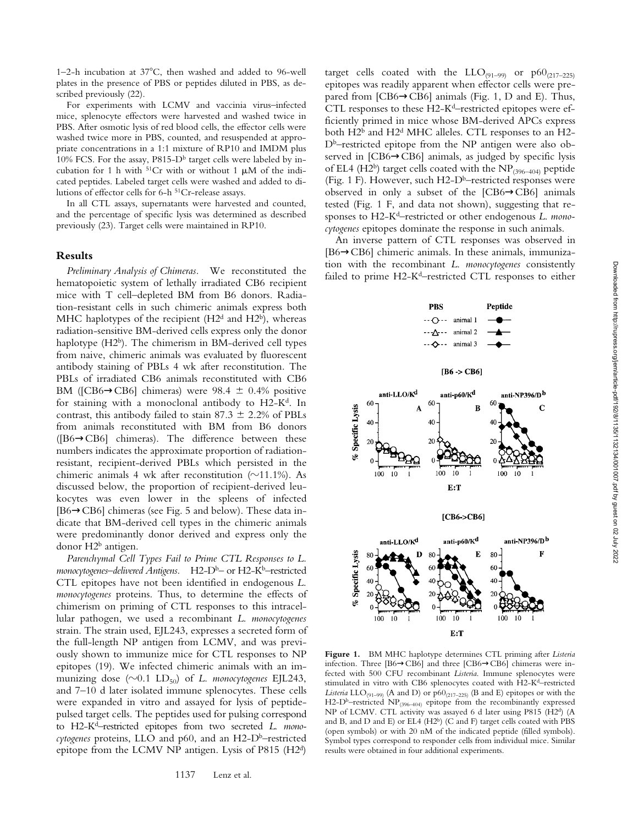1–2-h incubation at  $37^{\circ}$ C, then washed and added to 96-well plates in the presence of PBS or peptides diluted in PBS, as described previously (22).

For experiments with LCMV and vaccinia virus–infected mice, splenocyte effectors were harvested and washed twice in PBS. After osmotic lysis of red blood cells, the effector cells were washed twice more in PBS, counted, and resuspended at appropriate concentrations in a 1:1 mixture of RP10 and IMDM plus 10% FCS. For the assay, P815- $D<sup>b</sup>$  target cells were labeled by incubation for 1 h with  $51Cr$  with or without 1  $\mu$ M of the indicated peptides. Labeled target cells were washed and added to dilutions of effector cells for 6-h 51Cr-release assays.

In all CTL assays, supernatants were harvested and counted, and the percentage of specific lysis was determined as described previously (23). Target cells were maintained in RP10.

#### **Results**

*Preliminary Analysis of Chimeras.* We reconstituted the hematopoietic system of lethally irradiated CB6 recipient mice with T cell–depleted BM from B6 donors. Radiation-resistant cells in such chimeric animals express both MHC haplotypes of the recipient  $(H2<sup>d</sup>$  and  $H2<sup>b</sup>)$ , whereas radiation-sensitive BM-derived cells express only the donor haplotype (H2<sup>b</sup>). The chimerism in BM-derived cell types from naive, chimeric animals was evaluated by fluorescent antibody staining of PBLs 4 wk after reconstitution. The PBLs of irradiated CB6 animals reconstituted with CB6 BM ([CB6 $\rightarrow$ CB6] chimeras) were 98.4  $\pm$  0.4% positive for staining with a monoclonal antibody to  $H2-K<sup>d</sup>$ . In contrast, this antibody failed to stain  $87.3 \pm 2.2\%$  of PBLs from animals reconstituted with BM from B6 donors ([B6→CB6] chimeras). The difference between these numbers indicates the approximate proportion of radiationresistant, recipient-derived PBLs which persisted in the chimeric animals 4 wk after reconstitution ( $\sim$ 11.1%). As discussed below, the proportion of recipient-derived leukocytes was even lower in the spleens of infected [B6→CB6] chimeras (see Fig. 5 and below). These data indicate that BM-derived cell types in the chimeric animals were predominantly donor derived and express only the donor  $H2^b$  antigen.

*Parenchymal Cell Types Fail to Prime CTL Responses to L.* monocytogenes-delivered Antigens. H2-D<sup>b</sup>- or H2-K<sup>b</sup>-restricted CTL epitopes have not been identified in endogenous *L*. *monocytogenes* proteins. Thus, to determine the effects of chimerism on priming of CTL responses to this intracellular pathogen, we used a recombinant *L*. *monocytogenes* strain. The strain used, EJL243, expresses a secreted form of the full-length NP antigen from LCMV, and was previously shown to immunize mice for CTL responses to NP epitopes (19). We infected chimeric animals with an immunizing dose  $(\sim 0.1 \text{ LD}_{50})$  of *L. monocytogenes* EJL243, and 7–10 d later isolated immune splenocytes. These cells were expanded in vitro and assayed for lysis of peptidepulsed target cells. The peptides used for pulsing correspond to H2-Kd–restricted epitopes from two secreted *L*. *mono*cytogenes proteins, LLO and p60, and an H2-D<sup>b</sup>–restricted epitope from the LCMV NP antigen. Lysis of P815 (H2d)

target cells coated with the  $LLO_{(91-99)}$  or  $p60_{(217-225)}$ epitopes was readily apparent when effector cells were prepared from [CB6→CB6] animals (Fig. 1, D and E). Thus, CTL responses to these H2-K<sup>d</sup>–restricted epitopes were efficiently primed in mice whose BM-derived APCs express both H2<sup>b</sup> and H2<sup>d</sup> MHC alleles. CTL responses to an H2-Db–restricted epitope from the NP antigen were also observed in [CB6→CB6] animals, as judged by specific lysis of EL4 (H2<sup>b</sup>) target cells coated with the  $NP_{(396-404)}$  peptide (Fig. 1 F). However, such  $H2-D<sup>b</sup>$ –restricted responses were observed in only a subset of the [CB6→CB6] animals tested (Fig. 1 F, and data not shown), suggesting that responses to H2-Kd–restricted or other endogenous *L*. *monocytogenes* epitopes dominate the response in such animals.

An inverse pattern of CTL responses was observed in [B6→CB6] chimeric animals. In these animals, immunization with the recombinant *L*. *monocytogenes* consistently failed to prime H2-K<sup>d</sup>–restricted CTL responses to either



**Figure 1.** BM MHC haplotype determines CTL priming after *Listeria* infection. Three [B6→CB6] and three [CB6→CB6] chimeras were infected with 500 CFU recombinant *Listeria*. Immune splenocytes were stimulated in vitro with CB6 splenocytes coated with H2-Kd–restricted *Listeria* LLO<sub>(91-99)</sub> (A and D) or  $p60_{(217-225)}$  (B and E) epitopes or with the H2-D<sup>b</sup>-restricted NP<sub>(396-404)</sub> epitope from the recombinantly expressed NP of LCMV. CTL activity was assayed 6 d later using P815 (H2d) (A and B, and D and E) or EL4 (H2b) (C and F) target cells coated with PBS (open symbols) or with 20 nM of the indicated peptide (filled symbols). Symbol types correspond to responder cells from individual mice. Similar results were obtained in four additional experiments.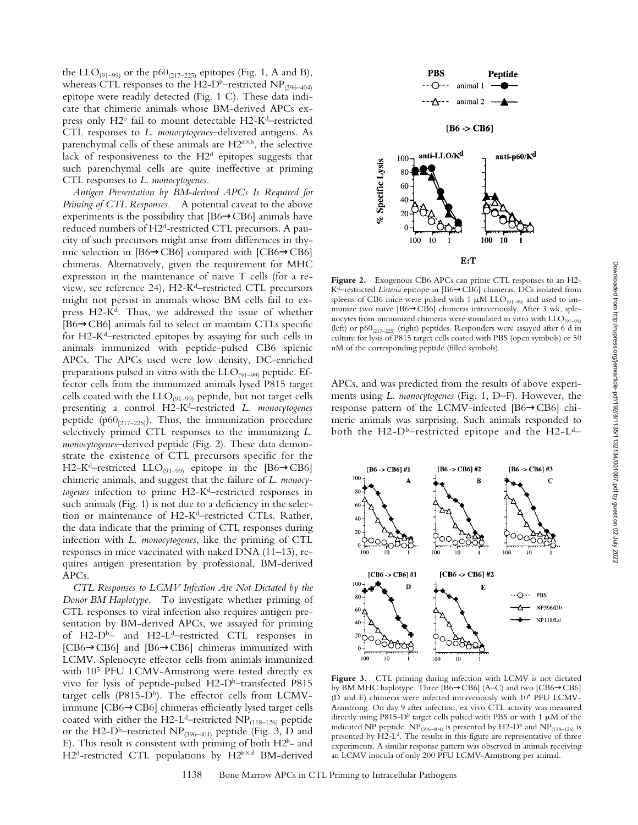the LLO<sub>(91–99)</sub> or the p60<sub>(217–225)</sub> epitopes (Fig. 1, A and B), whereas CTL responses to the H2-D<sup>b</sup>–restricted NP<sub>(396–404)</sub> epitope were readily detected (Fig. 1 C). These data indicate that chimeric animals whose BM-derived APCs express only H2b fail to mount detectable H2-Kd–restricted CTL responses to *L*. *monocytogenes*–delivered antigens. As parenchymal cells of these animals are  $H2^{d\times b}$ , the selective lack of responsiveness to the H2d epitopes suggests that such parenchymal cells are quite ineffective at priming CTL responses to *L*. *monocytogenes*.

*Antigen Presentation by BM-derived APCs Is Required for Priming of CTL Responses.* A potential caveat to the above experiments is the possibility that  $[B6 \rightarrow CB6]$  animals have reduced numbers of H2d-restricted CTL precursors. A paucity of such precursors might arise from differences in thymic selection in [B6→CB6] compared with [CB6→CB6] chimeras. Alternatively, given the requirement for MHC expression in the maintenance of naive T cells (for a review, see reference 24), H2-Kd–restricted CTL precursors might not persist in animals whose BM cells fail to express  $H2-K<sup>d</sup>$ . Thus, we addressed the issue of whether [B6→CB6] animals fail to select or maintain CTLs specific for H2-Kd–restricted epitopes by assaying for such cells in animals immunized with peptide-pulsed CB6 splenic APCs. The APCs used were low density, DC-enriched preparations pulsed in vitro with the  $LLO_{(91-99)}$  peptide. Effector cells from the immunized animals lysed P815 target cells coated with the  $LLO_{(91-99)}$  peptide, but not target cells presenting a control H2-Kd–restricted *L*. *monocytogenes* peptide (p60 $_{[217-225]}$ ). Thus, the immunization procedure selectively primed CTL responses to the immunizing *L*. *monocytogenes*–derived peptide (Fig. 2). These data demonstrate the existence of CTL precursors specific for the H2-K<sup>d</sup>–restricted LLO<sub>(91–99)</sub> epitope in the [B6 $\rightarrow$ CB6] chimeric animals, and suggest that the failure of *L*. *monocytogenes* infection to prime H2-Kd–restricted responses in such animals (Fig. 1) is not due to a deficiency in the selection or maintenance of H2-Kd–restricted CTLs. Rather, the data indicate that the priming of CTL responses during infection with *L*. *monocytogenes*, like the priming of CTL responses in mice vaccinated with naked DNA (11–13), requires antigen presentation by professional, BM-derived APCs.

*CTL Responses to LCMV Infection Are Not Dictated by the Donor BM Haplotype.* To investigate whether priming of CTL responses to viral infection also requires antigen presentation by BM-derived APCs, we assayed for priming of H2- $D^b$ – and H2- $L^d$ –restricted CTL responses in [CB6→CB6] and [B6→CB6] chimeras immunized with LCMV. Splenocyte effector cells from animals immunized with 10<sup>5</sup> PFU LCMV-Armstrong were tested directly ex vivo for lysis of peptide-pulsed  $H2-D<sup>b</sup>$ -transfected P815 target cells (P815-D<sup>b</sup>). The effector cells from LCMVimmune [CB6→CB6] chimeras efficiently lysed target cells coated with either the H2-L<sup>d</sup>-restricted NP<sub>(118-126)</sub> peptide or the H2-D<sup>b</sup>–restricted NP<sub>(396–404)</sub> peptide (Fig. 3, D and E). This result is consistent with priming of both H2b- and  $H2<sup>d</sup>$ -restricted CTL populations by  $H2<sup>b</sup>×d$  BM-derived



**Figure 2.** Exogenous CB6 APCs can prime CTL responses to an H2- Kd–restricted *Listeria* epitope in [B6→CB6] chimeras. DCs isolated from spleens of CB6 mice were pulsed with 1  $\mu$ M LLO<sub>(91-99)</sub> and used to immunize two naive [B6→CB6] chimeras intravenously. After 3 wk, splenocytes from immunized chimeras were stimulated in vitro with  $\text{LLO}_{(91-99)}$ (left) or  $p60_{(217-225)}$  (right) peptides. Responders were assayed after 6 d in culture for lysis of P815 target cells coated with PBS (open symbols) or 50 nM of the corresponding peptide (filled symbols).

APCs, and was predicted from the results of above experiments using *L*. *monocytogenes* (Fig. 1, D–F). However, the response pattern of the LCMV-infected [B6→CB6] chimeric animals was surprising. Such animals responded to both the H2- $D^b$ –restricted epitope and the H2- $L^d$ –



**Figure 3.** CTL priming during infection with LCMV is not dictated by BM MHC haplotype. Three [B6→CB6] (A–C) and two [CB6→CB6] (D and E) chimeras were infected intravenously with 105 PFU LCMV-Armstrong. On day 9 after infection, ex vivo CTL activity was measured directly using P815-D<sup>b</sup> target cells pulsed with PBS or with 1  $\mu$ M of the indicated NP peptide.  $NP_{(396-404)}$  is presented by H2-D<sup>b</sup> and  $NP_{(118-126)}$  is presented by H2-L<sup>d</sup>. The results in this figure are representative of three experiments. A similar response pattern was observed in animals receiving an LCMV inocula of only 200 PFU LCMV-Armstrong per animal.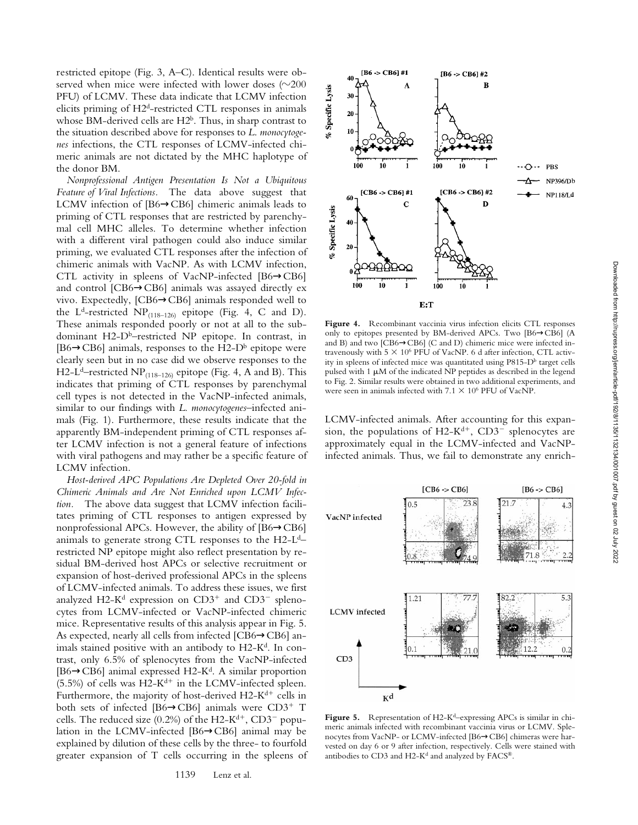restricted epitope (Fig. 3, A–C). Identical results were observed when mice were infected with lower doses  $(\sim 200$ PFU) of LCMV. These data indicate that LCMV infection elicits priming of H2d-restricted CTL responses in animals whose BM-derived cells are H2<sup>b</sup>. Thus, in sharp contrast to the situation described above for responses to *L*. *monocytogenes* infections, the CTL responses of LCMV-infected chimeric animals are not dictated by the MHC haplotype of the donor BM.

*Nonprofessional Antigen Presentation Is Not a Ubiquitous Feature of Viral Infections.* The data above suggest that LCMV infection of [B6→CB6] chimeric animals leads to priming of CTL responses that are restricted by parenchymal cell MHC alleles. To determine whether infection with a different viral pathogen could also induce similar priming, we evaluated CTL responses after the infection of chimeric animals with VacNP. As with LCMV infection, CTL activity in spleens of VacNP-infected [B6→CB6] and control [CB6→CB6] animals was assayed directly ex vivo. Expectedly, [CB6→CB6] animals responded well to the L<sup>d</sup>-restricted NP<sub>(118–126)</sub> epitope (Fig. 4, C and D). These animals responded poorly or not at all to the subdominant H2-D<sup>b</sup>-restricted NP epitope. In contrast, in [B6 $\rightarrow$ CB6] animals, responses to the H2-D<sup>b</sup> epitope were clearly seen but in no case did we observe responses to the H2-L<sup>d</sup>–restricted NP<sub>(118–126)</sub> epitope (Fig. 4, A and B). This indicates that priming of CTL responses by parenchymal cell types is not detected in the VacNP-infected animals, similar to our findings with *L*. *monocytogenes*–infected animals (Fig. 1). Furthermore, these results indicate that the apparently BM-independent priming of CTL responses after LCMV infection is not a general feature of infections with viral pathogens and may rather be a specific feature of LCMV infection.

*Host-derived APC Populations Are Depleted Over 20-fold in Chimeric Animals and Are Not Enriched upon LCMV Infection.* The above data suggest that LCMV infection facilitates priming of CTL responses to antigen expressed by nonprofessional APCs. However, the ability of [B6→CB6] animals to generate strong CTL responses to the H2-Ld– restricted NP epitope might also reflect presentation by residual BM-derived host APCs or selective recruitment or expansion of host-derived professional APCs in the spleens of LCMV-infected animals. To address these issues, we first analyzed H2-K<sup>d</sup> expression on  $CD3^+$  and  $CD3^-$  splenocytes from LCMV-infected or VacNP-infected chimeric mice. Representative results of this analysis appear in Fig. 5. As expected, nearly all cells from infected [CB6→CB6] animals stained positive with an antibody to H2-K<sup>d</sup>. In contrast, only 6.5% of splenocytes from the VacNP-infected [B6 $\rightarrow$ CB6] animal expressed H2-K<sup>d</sup>. A similar proportion (5.5%) of cells was  $H2-K^{d+}$  in the LCMV-infected spleen. Furthermore, the majority of host-derived  $H2-K^{d+}$  cells in both sets of infected [B6 $\rightarrow$ CB6] animals were CD3<sup>+</sup> T cells. The reduced size (0.2%) of the H2-K<sup>d+</sup>, CD3<sup>-</sup> population in the LCMV-infected [B6→CB6] animal may be explained by dilution of these cells by the three- to fourfold greater expansion of T cells occurring in the spleens of



**Figure 4.** Recombinant vaccinia virus infection elicits CTL responses only to epitopes presented by BM-derived APCs. Two [B6→CB6] (A and B) and two [CB6→CB6] (C and D) chimeric mice were infected intravenously with  $5 \times 10^6$  PFU of VacNP. 6 d after infection, CTL activity in spleens of infected mice was quantitated using P815-D<sup>b</sup> target cells pulsed with 1  $\mu$ M of the indicated NP peptides as described in the legend to Fig. 2. Similar results were obtained in two additional experiments, and were seen in animals infected with  $7.1 \times 10^6$  PFU of VacNP.

LCMV-infected animals. After accounting for this expansion, the populations of  $H2-K^{d+}$ , CD3<sup>-</sup> splenocytes are approximately equal in the LCMV-infected and VacNPinfected animals. Thus, we fail to demonstrate any enrich-



Figure 5. Representation of H2-K<sup>d</sup>–expressing APCs is similar in chimeric animals infected with recombinant vaccinia virus or LCMV. Splenocytes from VacNP- or LCMV-infected [B6→CB6] chimeras were harvested on day 6 or 9 after infection, respectively. Cells were stained with antibodies to CD3 and H2-K<sup>d</sup> and analyzed by FACS®.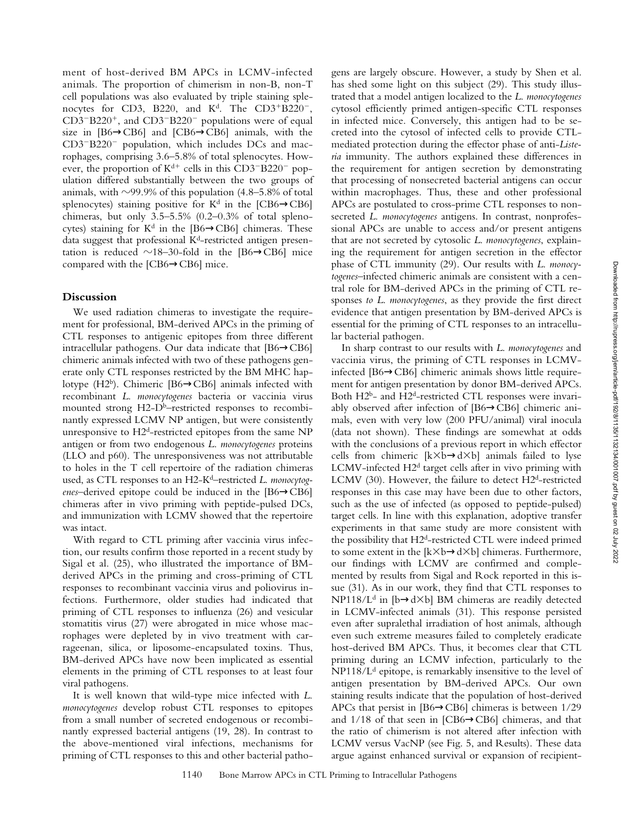ment of host-derived BM APCs in LCMV-infected animals. The proportion of chimerism in non-B, non-T cell populations was also evaluated by triple staining splenocytes for CD3, B220, and K<sup>d</sup>. The CD3+B220<sup>-</sup>,  $CD3-B220^+$ , and  $CD3-B220^-$  populations were of equal size in [B6→CB6] and [CB6→CB6] animals, with the  $CD3-B220$ <sup>-</sup> population, which includes DCs and macrophages, comprising 3.6–5.8% of total splenocytes. However, the proportion of  $K^{d+}$  cells in this CD3<sup>-</sup>B220<sup>-</sup> population differed substantially between the two groups of animals, with  $\sim$ 99.9% of this population (4.8–5.8% of total splenocytes) staining positive for  $K<sup>d</sup>$  in the [CB6 $\rightarrow$ CB6] chimeras, but only  $3.5-5.5\%$  (0.2-0.3% of total splenocytes) staining for  $K^d$  in the [B6 $\rightarrow$ CB6] chimeras. These data suggest that professional  $K<sup>d</sup>$ -restricted antigen presentation is reduced  $\sim$ 18–30-fold in the [B6 $\rightarrow$ CB6] mice compared with the [CB6→CB6] mice.

#### **Discussion**

We used radiation chimeras to investigate the requirement for professional, BM-derived APCs in the priming of CTL responses to antigenic epitopes from three different intracellular pathogens. Our data indicate that [B6→CB6] chimeric animals infected with two of these pathogens generate only CTL responses restricted by the BM MHC haplotype (H2<sup>b</sup>). Chimeric [B6 $\rightarrow$ CB6] animals infected with recombinant *L*. *monocytogenes* bacteria or vaccinia virus mounted strong H2-D<sup>b</sup>–restricted responses to recombinantly expressed LCMV NP antigen, but were consistently unresponsive to  $H2<sup>d</sup>$ -restricted epitopes from the same NP antigen or from two endogenous *L*. *monocytogenes* proteins (LLO and p60). The unresponsiveness was not attributable to holes in the T cell repertoire of the radiation chimeras used, as CTL responses to an H2-Kd–restricted *L*. *monocytogenes*–derived epitope could be induced in the [B6→CB6] chimeras after in vivo priming with peptide-pulsed DCs, and immunization with LCMV showed that the repertoire was intact.

With regard to CTL priming after vaccinia virus infection, our results confirm those reported in a recent study by Sigal et al. (25), who illustrated the importance of BMderived APCs in the priming and cross-priming of CTL responses to recombinant vaccinia virus and poliovirus infections. Furthermore, older studies had indicated that priming of CTL responses to influenza (26) and vesicular stomatitis virus (27) were abrogated in mice whose macrophages were depleted by in vivo treatment with carrageenan, silica, or liposome-encapsulated toxins. Thus, BM-derived APCs have now been implicated as essential elements in the priming of CTL responses to at least four viral pathogens.

It is well known that wild-type mice infected with *L*. *monocytogenes* develop robust CTL responses to epitopes from a small number of secreted endogenous or recombinantly expressed bacterial antigens (19, 28). In contrast to the above-mentioned viral infections, mechanisms for priming of CTL responses to this and other bacterial patho-

gens are largely obscure. However, a study by Shen et al. has shed some light on this subject (29). This study illustrated that a model antigen localized to the *L*. *monocytogenes* cytosol efficiently primed antigen-specific CTL responses in infected mice. Conversely, this antigen had to be secreted into the cytosol of infected cells to provide CTLmediated protection during the effector phase of anti-*Listeria* immunity. The authors explained these differences in the requirement for antigen secretion by demonstrating that processing of nonsecreted bacterial antigens can occur within macrophages. Thus, these and other professional APCs are postulated to cross-prime CTL responses to nonsecreted *L*. *monocytogenes* antigens. In contrast, nonprofessional APCs are unable to access and/or present antigens that are not secreted by cytosolic *L*. *monocytogenes*, explaining the requirement for antigen secretion in the effector phase of CTL immunity (29). Our results with *L*. *monocytogenes*–infected chimeric animals are consistent with a central role for BM-derived APCs in the priming of CTL responses *to L*. *monocytogenes*, as they provide the first direct evidence that antigen presentation by BM-derived APCs is essential for the priming of CTL responses to an intracellular bacterial pathogen.

In sharp contrast to our results with *L*. *monocytogenes* and vaccinia virus, the priming of CTL responses in LCMVinfected [B6→CB6] chimeric animals shows little requirement for antigen presentation by donor BM-derived APCs. Both H2b- and H2d-restricted CTL responses were invariably observed after infection of [B6→CB6] chimeric animals, even with very low (200 PFU/animal) viral inocula (data not shown). These findings are somewhat at odds with the conclusions of a previous report in which effector cells from chimeric  $[k \times b \rightarrow d \times b]$  animals failed to lyse LCMV-infected H2d target cells after in vivo priming with LCMV (30). However, the failure to detect H2<sup>d</sup>-restricted responses in this case may have been due to other factors, such as the use of infected (as opposed to peptide-pulsed) target cells. In line with this explanation, adoptive transfer experiments in that same study are more consistent with the possibility that H2d-restricted CTL were indeed primed to some extent in the  $[k \times b \rightarrow d \times b]$  chimeras. Furthermore, our findings with LCMV are confirmed and complemented by results from Sigal and Rock reported in this issue (31). As in our work, they find that CTL responses to NP118/L<sup>d</sup> in [b→d×b] BM chimeras are readily detected in LCMV-infected animals (31). This response persisted even after supralethal irradiation of host animals, although even such extreme measures failed to completely eradicate host-derived BM APCs. Thus, it becomes clear that CTL priming during an LCMV infection, particularly to the  $NP118/L<sup>d</sup>$  epitope, is remarkably insensitive to the level of antigen presentation by BM-derived APCs. Our own staining results indicate that the population of host-derived APCs that persist in [B6→CB6] chimeras is between 1/29 and 1/18 of that seen in [CB6→CB6] chimeras, and that the ratio of chimerism is not altered after infection with LCMV versus VacNP (see Fig. 5, and Results). These data argue against enhanced survival or expansion of recipient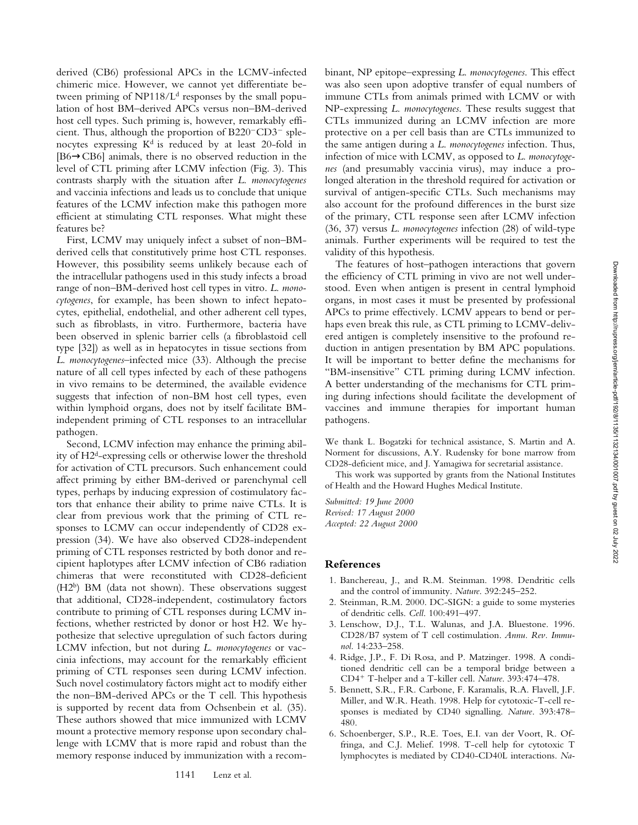derived (CB6) professional APCs in the LCMV-infected chimeric mice. However, we cannot yet differentiate between priming of  $NP118/L<sup>d</sup>$  responses by the small population of host BM–derived APCs versus non–BM-derived host cell types. Such priming is, however, remarkably efficient. Thus, although the proportion of  $B220$ <sup>-</sup>CD3<sup>-</sup> splenocytes expressing K<sup>d</sup> is reduced by at least 20-fold in [B6→CB6] animals, there is no observed reduction in the level of CTL priming after LCMV infection (Fig. 3). This contrasts sharply with the situation after *L*. *monocytogenes* and vaccinia infections and leads us to conclude that unique features of the LCMV infection make this pathogen more efficient at stimulating CTL responses. What might these features be?

First, LCMV may uniquely infect a subset of non–BMderived cells that constitutively prime host CTL responses. However, this possibility seems unlikely because each of the intracellular pathogens used in this study infects a broad range of non–BM-derived host cell types in vitro. *L*. *monocytogenes*, for example, has been shown to infect hepatocytes, epithelial, endothelial, and other adherent cell types, such as fibroblasts, in vitro. Furthermore, bacteria have been observed in splenic barrier cells (a fibroblastoid cell type [32]) as well as in hepatocytes in tissue sections from *L*. *monocytogenes*–infected mice (33). Although the precise nature of all cell types infected by each of these pathogens in vivo remains to be determined, the available evidence suggests that infection of non-BM host cell types, even within lymphoid organs, does not by itself facilitate BMindependent priming of CTL responses to an intracellular pathogen.

Second, LCMV infection may enhance the priming ability of H2d-expressing cells or otherwise lower the threshold for activation of CTL precursors. Such enhancement could affect priming by either BM-derived or parenchymal cell types, perhaps by inducing expression of costimulatory factors that enhance their ability to prime naive CTLs. It is clear from previous work that the priming of CTL responses to LCMV can occur independently of CD28 expression (34). We have also observed CD28-independent priming of CTL responses restricted by both donor and recipient haplotypes after LCMV infection of CB6 radiation chimeras that were reconstituted with CD28-deficient (H2b) BM (data not shown). These observations suggest that additional, CD28-independent, costimulatory factors contribute to priming of CTL responses during LCMV infections, whether restricted by donor or host H2. We hypothesize that selective upregulation of such factors during LCMV infection, but not during *L*. *monocytogenes* or vaccinia infections, may account for the remarkably efficient priming of CTL responses seen during LCMV infection. Such novel costimulatory factors might act to modify either the non–BM-derived APCs or the T cell. This hypothesis is supported by recent data from Ochsenbein et al. (35). These authors showed that mice immunized with LCMV mount a protective memory response upon secondary challenge with LCMV that is more rapid and robust than the memory response induced by immunization with a recombinant, NP epitope–expressing *L*. *monocytogenes*. This effect was also seen upon adoptive transfer of equal numbers of immune CTLs from animals primed with LCMV or with NP-expressing *L*. *monocytogenes*. These results suggest that CTLs immunized during an LCMV infection are more protective on a per cell basis than are CTLs immunized to the same antigen during a *L*. *monocytogenes* infection. Thus, infection of mice with LCMV, as opposed to *L*. *monocytogenes* (and presumably vaccinia virus), may induce a prolonged alteration in the threshold required for activation or survival of antigen-specific CTLs. Such mechanisms may also account for the profound differences in the burst size of the primary, CTL response seen after LCMV infection (36, 37) versus *L*. *monocytogenes* infection (28) of wild-type animals. Further experiments will be required to test the validity of this hypothesis.

The features of host–pathogen interactions that govern the efficiency of CTL priming in vivo are not well understood. Even when antigen is present in central lymphoid organs, in most cases it must be presented by professional APCs to prime effectively. LCMV appears to bend or perhaps even break this rule, as CTL priming to LCMV-delivered antigen is completely insensitive to the profound reduction in antigen presentation by BM APC populations. It will be important to better define the mechanisms for "BM-insensitive" CTL priming during LCMV infection. A better understanding of the mechanisms for CTL priming during infections should facilitate the development of vaccines and immune therapies for important human pathogens.

We thank L. Bogatzki for technical assistance, S. Martin and A. Norment for discussions, A.Y. Rudensky for bone marrow from CD28-deficient mice, and J. Yamagiwa for secretarial assistance.

This work was supported by grants from the National Institutes of Health and the Howard Hughes Medical Institute.

*Submitted: 19 June 2000 Revised: 17 August 2000 Accepted: 22 August 2000*

#### **References**

- 1. Banchereau, J., and R.M. Steinman. 1998. Dendritic cells and the control of immunity. *Nature*. 392:245–252.
- 2. Steinman, R.M. 2000. DC-SIGN: a guide to some mysteries of dendritic cells. *Cell*. 100:491–497.
- 3. Lenschow, D.J., T.L. Walunas, and J.A. Bluestone. 1996. CD28/B7 system of T cell costimulation. *Annu. Rev. Immunol*. 14:233–258.
- 4. Ridge, J.P., F. Di Rosa, and P. Matzinger. 1998. A conditioned dendritic cell can be a temporal bridge between a CD4<sup>1</sup> T-helper and a T-killer cell. *Nature*. 393:474–478.
- 5. Bennett, S.R., F.R. Carbone, F. Karamalis, R.A. Flavell, J.F. Miller, and W.R. Heath. 1998. Help for cytotoxic-T-cell responses is mediated by CD40 signalling. *Nature*. 393:478– 480.
- 6. Schoenberger, S.P., R.E. Toes, E.I. van der Voort, R. Offringa, and C.J. Melief. 1998. T-cell help for cytotoxic T lymphocytes is mediated by CD40-CD40L interactions. *Na-*